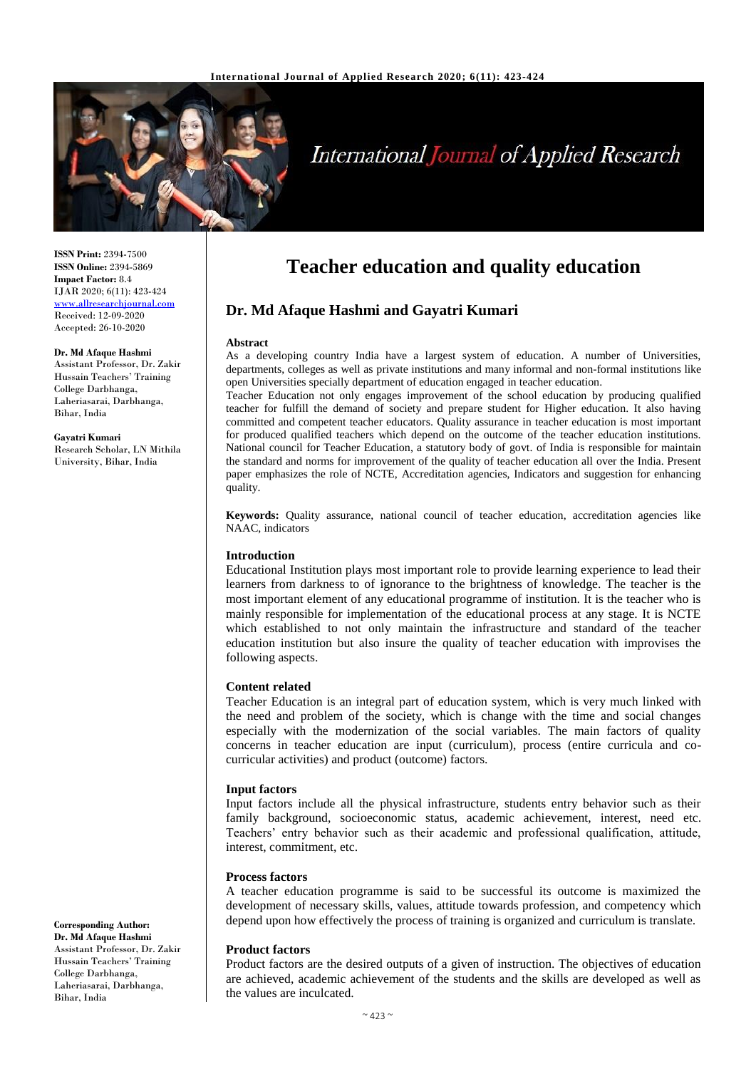

# **International Journal of Applied Research**

**ISSN Print:** 2394-7500 **ISSN Online:** 2394-5869 **Impact Factor:** 8.4 IJAR 2020; 6(11): 423-424 <www.allresearchjournal.com> Received: 12-09-2020 Accepted: 26-10-2020

#### **Dr. Md Afaque Hashmi**

Assistant Professor, Dr. Zakir Hussain Teachers' Training College Darbhanga, Laheriasarai, Darbhanga, Bihar, India

**Gayatri Kumari** Research Scholar, LN Mithila University, Bihar, India

**Corresponding Author: Dr. Md Afaque Hashmi** Assistant Professor, Dr. Zakir Hussain Teachers' Training College Darbhanga, Laheriasarai, Darbhanga,

Bihar, India

# **Teacher education and quality education**

# **Dr. Md Afaque Hashmi and Gayatri Kumari**

#### **Abstract**

As a developing country India have a largest system of education. A number of Universities, departments, colleges as well as private institutions and many informal and non-formal institutions like open Universities specially department of education engaged in teacher education.

Teacher Education not only engages improvement of the school education by producing qualified teacher for fulfill the demand of society and prepare student for Higher education. It also having committed and competent teacher educators. Quality assurance in teacher education is most important for produced qualified teachers which depend on the outcome of the teacher education institutions. National council for Teacher Education, a statutory body of govt. of India is responsible for maintain the standard and norms for improvement of the quality of teacher education all over the India. Present paper emphasizes the role of NCTE, Accreditation agencies, Indicators and suggestion for enhancing quality.

**Keywords:** Quality assurance, national council of teacher education, accreditation agencies like NAAC, indicators

#### **Introduction**

Educational Institution plays most important role to provide learning experience to lead their learners from darkness to of ignorance to the brightness of knowledge. The teacher is the most important element of any educational programme of institution. It is the teacher who is mainly responsible for implementation of the educational process at any stage. It is NCTE which established to not only maintain the infrastructure and standard of the teacher education institution but also insure the quality of teacher education with improvises the following aspects.

#### **Content related**

Teacher Education is an integral part of education system, which is very much linked with the need and problem of the society, which is change with the time and social changes especially with the modernization of the social variables. The main factors of quality concerns in teacher education are input (curriculum), process (entire curricula and cocurricular activities) and product (outcome) factors.

#### **Input factors**

Input factors include all the physical infrastructure, students entry behavior such as their family background, socioeconomic status, academic achievement, interest, need etc. Teachers' entry behavior such as their academic and professional qualification, attitude, interest, commitment, etc.

#### **Process factors**

A teacher education programme is said to be successful its outcome is maximized the development of necessary skills, values, attitude towards profession, and competency which depend upon how effectively the process of training is organized and curriculum is translate.

#### **Product factors**

Product factors are the desired outputs of a given of instruction. The objectives of education are achieved, academic achievement of the students and the skills are developed as well as the values are inculcated.